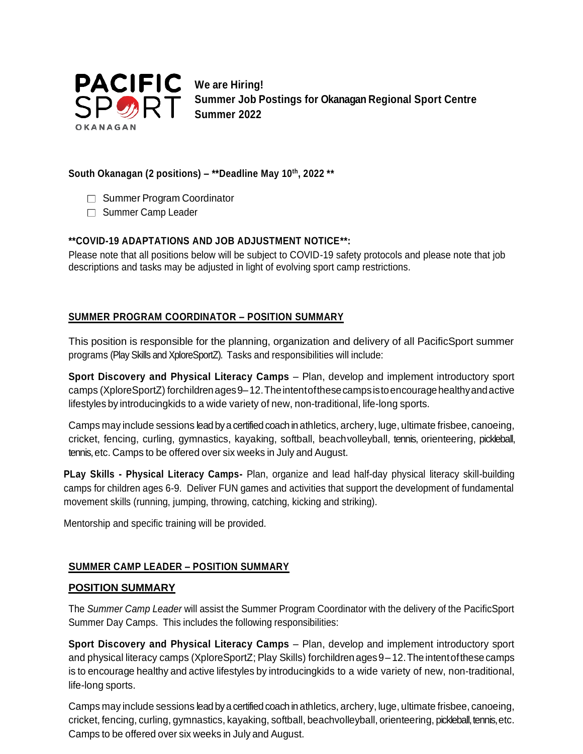

**Summer Job Postings for Okanagan Regional Sport Centre Summer 2022**

### **South Okanagan (2 positions) – \*\*Deadline May 10th, 2022 \*\***

- □ Summer Program Coordinator
- □ Summer Camp Leader

## **\*\*COVID-19 ADAPTATIONS AND JOB ADJUSTMENT NOTICE\*\*:**

Please note that all positions below will be subject to COVID-19 safety protocols and please note that job descriptions and tasks may be adjusted in light of evolving sport camp restrictions.

# **SUMMER PROGRAM COORDINATOR – POSITION SUMMARY**

This position is responsible for the planning, organization and delivery of all PacificSport summer programs (Play Skills and XploreSportZ). Tasks and responsibilities will include:

**Sport Discovery and Physical Literacy Camps** – Plan, develop and implement introductory sport camps (XploreSportZ) for children ages 9–12. The intent of these camps is to encourage healthy and active lifestyles by introducingkids to a wide variety of new, non-traditional, life-long sports.

Camps may include sessions lead by a certified coach in athletics, archery, luge, ultimate frisbee, canoeing, cricket, fencing, curling, gymnastics, kayaking, softball, beachvolleyball, tennis, orienteering, pickleball, tennis, etc. Camps to be offered over six weeks in July and August.

**PLay Skills - Physical Literacy Camps-** Plan, organize and lead half-day physical literacy skill-building camps for children ages 6-9. Deliver FUN games and activities that support the development of fundamental movement skills (running, jumping, throwing, catching, kicking and striking).

Mentorship and specific training will be provided.

# **SUMMER CAMP LEADER – POSITION SUMMARY**

### **POSITION SUMMARY**

The *Summer Camp Leader* will assist the Summer Program Coordinator with the delivery of the PacificSport Summer Day Camps. This includes the following responsibilities:

**Sport Discovery and Physical Literacy Camps** – Plan, develop and implement introductory sport and physical literacy camps (XploreSportZ; Play Skills) forchildren ages9–12.The intentofthese camps is to encourage healthy and active lifestyles by introducingkids to a wide variety of new, non-traditional, life-long sports.

Camps may include sessions lead by a certified coach in athletics, archery, luge, ultimate frisbee, canoeing, cricket, fencing, curling, gymnastics, kayaking, softball, beachvolleyball, orienteering, pickleball, tennis, etc. Camps to be offered over six weeks in July and August.